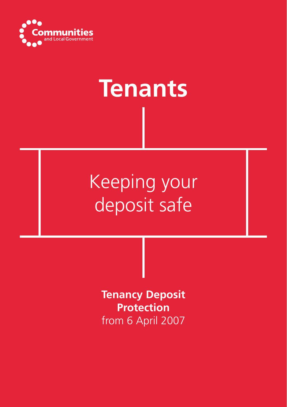

# **Tenants**

# Keeping your deposit safe

**Tenancy Deposit Protection** from 6 April 2007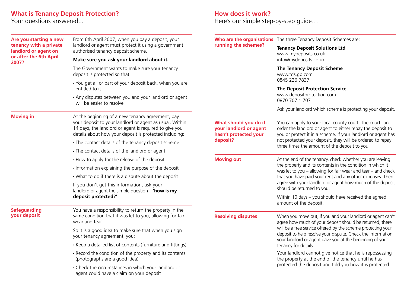### **What is Tenancy Deposit Protection?**

Your questions answered...

| Are you starting a new<br>tenancy with a private<br>landlord or agent on<br>or after the 6th April<br>2007? | From 6th April 2007, when you pay a deposit, your                                                                                                                                                                               | running the schemes?                                                                 | Who are the organisations The three Tenancy Deposit Schemes are:                                                                                                                                                                                                                                                                                   |
|-------------------------------------------------------------------------------------------------------------|---------------------------------------------------------------------------------------------------------------------------------------------------------------------------------------------------------------------------------|--------------------------------------------------------------------------------------|----------------------------------------------------------------------------------------------------------------------------------------------------------------------------------------------------------------------------------------------------------------------------------------------------------------------------------------------------|
|                                                                                                             | landlord or agent must protect it using a government<br>authorised tenancy deposit scheme.                                                                                                                                      |                                                                                      | <b>Tenancy Deposit Solutions Ltd</b><br>www.mydeposits.co.uk<br>info@mydeposits.co.uk                                                                                                                                                                                                                                                              |
|                                                                                                             | Make sure you ask your landlord about it.                                                                                                                                                                                       |                                                                                      |                                                                                                                                                                                                                                                                                                                                                    |
|                                                                                                             | The Government wants to make sure your tenancy<br>deposit is protected so that:                                                                                                                                                 |                                                                                      | <b>The Tenancy Deposit Scheme</b><br>www.tds.gb.com<br>0845 226 7837                                                                                                                                                                                                                                                                               |
|                                                                                                             | · You get all or part of your deposit back, when you are<br>entitled to it                                                                                                                                                      |                                                                                      | <b>The Deposit Protection Service</b>                                                                                                                                                                                                                                                                                                              |
|                                                                                                             | · Any disputes between you and your landlord or agent<br>will be easier to resolve                                                                                                                                              |                                                                                      | www.depositprotection.com<br>0870 707 1 707                                                                                                                                                                                                                                                                                                        |
|                                                                                                             |                                                                                                                                                                                                                                 |                                                                                      | Ask your landlord which scheme is protecting your deposit.                                                                                                                                                                                                                                                                                         |
| <b>Moving in</b>                                                                                            | At the beginning of a new tenancy agreement, pay<br>your deposit to your landlord or agent as usual. Within<br>14 days, the landlord or agent is required to give you<br>details about how your deposit is protected including: | What should you do if<br>your landlord or agent<br>hasn't protected your<br>deposit? | You can apply to your local county court. The court can<br>order the landlord or agent to either repay the deposit to<br>you or protect it in a scheme. If your landlord or agent has<br>not protected your deposit, they will be ordered to repay<br>three times the amount of the deposit to you.                                                |
|                                                                                                             | · The contact details of the tenancy deposit scheme                                                                                                                                                                             |                                                                                      |                                                                                                                                                                                                                                                                                                                                                    |
|                                                                                                             | • The contact details of the landlord or agent                                                                                                                                                                                  |                                                                                      |                                                                                                                                                                                                                                                                                                                                                    |
|                                                                                                             | • How to apply for the release of the deposit                                                                                                                                                                                   | <b>Moving out</b>                                                                    | At the end of the tenancy, check whether you are leaving<br>the property and its contents in the condition in which it<br>was let to you $-$ allowing for fair wear and tear $-$ and check<br>that you have paid your rent and any other expenses. Then<br>agree with your landlord or agent how much of the deposit<br>should be returned to you. |
|                                                                                                             | . Information explaining the purpose of the deposit                                                                                                                                                                             |                                                                                      |                                                                                                                                                                                                                                                                                                                                                    |
|                                                                                                             | • What to do if there is a dispute about the deposit                                                                                                                                                                            |                                                                                      |                                                                                                                                                                                                                                                                                                                                                    |
|                                                                                                             | If you don't get this information, ask your<br>landlord or agent the simple question $-$ 'how is my<br>deposit protected?'                                                                                                      |                                                                                      |                                                                                                                                                                                                                                                                                                                                                    |
|                                                                                                             |                                                                                                                                                                                                                                 |                                                                                      | Within 10 days - you should have received the agreed<br>amount of the deposit.                                                                                                                                                                                                                                                                     |
| <b>Safeguarding</b><br>your deposit                                                                         | You have a responsibility to return the property in the<br>same condition that it was let to you, allowing for fair<br>wear and tear.                                                                                           | <b>Resolving disputes</b>                                                            | When you move out, if you and your landlord or agent can't<br>agree how much of your deposit should be returned, there<br>will be a free service offered by the scheme protecting your<br>deposit to help resolve your dispute. Check the information<br>your landlord or agent gave you at the beginning of your<br>tenancy for details.          |
|                                                                                                             | So it is a good idea to make sure that when you sign<br>your tenancy agreement, you:                                                                                                                                            |                                                                                      |                                                                                                                                                                                                                                                                                                                                                    |
|                                                                                                             | • Keep a detailed list of contents (furniture and fittings)                                                                                                                                                                     |                                                                                      |                                                                                                                                                                                                                                                                                                                                                    |
|                                                                                                             | • Record the condition of the property and its contents<br>(photographs are a good idea)                                                                                                                                        |                                                                                      | Your landlord cannot give notice that he is repossessing<br>the property at the end of the tenancy until he has<br>protected the deposit and told you how it is protected.                                                                                                                                                                         |
|                                                                                                             | • Check the circumstances in which your landlord or<br>agent could have a claim on your deposit                                                                                                                                 |                                                                                      |                                                                                                                                                                                                                                                                                                                                                    |
|                                                                                                             |                                                                                                                                                                                                                                 |                                                                                      |                                                                                                                                                                                                                                                                                                                                                    |

## **How does it work?**

Here's our simple step-by-step guide…